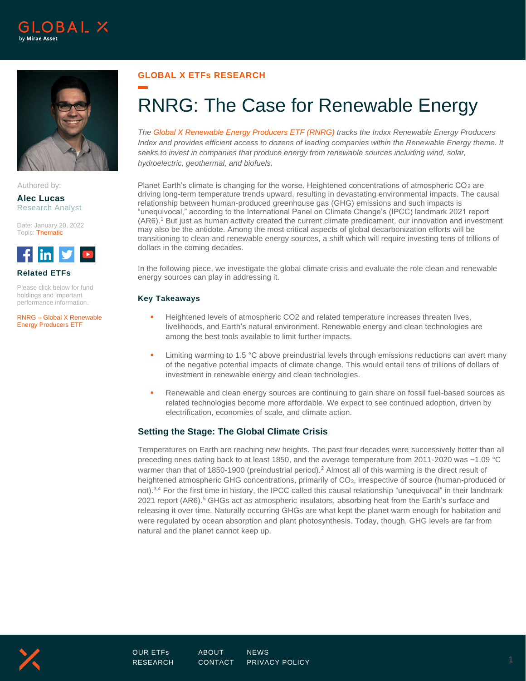



Authored by:

**Alec Lucas** Research Analyst

Date: January 20, 2022 Topic: Thematic



**Related ETFs**

Please click below for fund holdings and important performance information.

RNRG – [Global X Renewable](https://www.globalxetfs.com/funds/rnrg/)  [Energy Producers](https://www.globalxetfs.com/funds/rnrg/) ETF

## **GLOBAL X ETFs RESEARCH**

# RNRG: The Case for Renewable Energy

*Th[e Global X Renewable Energy Producers ETF \(RNRG\)](https://www.globalxetfs.com/funds/rnrg/) tracks the Indxx Renewable Energy Producers*  Index and provides efficient access to dozens of leading companies within the Renewable Energy theme. It *seeks to invest in companies that produce energy from renewable sources including wind, solar, hydroelectric, geothermal, and biofuels.*

Planet Earth's climate is changing for the worse. Heightened concentrations of atmospheric CO<sub>2</sub> are driving long-term temperature trends upward, resulting in devastating environmental impacts. The causal relationship between human-produced greenhouse gas (GHG) emissions and such impacts is "unequivocal," according to the International Panel on Climate Change's (IPCC) landmark 2021 report (AR6).<sup>1</sup> But just as human activity created the current climate predicament, our innovation and investment may also be the antidote. Among the most critical aspects of global decarbonization efforts will be transitioning to clean and renewable energy sources, a shift which will require investing tens of trillions of dollars in the coming decades.

In the following piece, we investigate the global climate crisis and evaluate the role clean and renewable energy sources can play in addressing it.

#### **Key Takeaways**

- Heightened levels of atmospheric CO2 and related temperature increases threaten lives, livelihoods, and Earth's natural environment. Renewable energy and clean technologies are among the best tools available to limit further impacts.
- **EXECUTE:** Limiting warming to 1.5 °C above preindustrial levels through emissions reductions can avert many of the negative potential impacts of climate change. This would entail tens of trillions of dollars of investment in renewable energy and clean technologies.
- Renewable and clean energy sources are continuing to gain share on fossil fuel-based sources as related technologies become more affordable. We expect to see continued adoption, driven by electrification, economies of scale, and climate action.

#### **Setting the Stage: The Global Climate Crisis**

Temperatures on Earth are reaching new heights. The past four decades were successively hotter than all preceding ones dating back to at least 1850, and the average temperature from 2011-2020 was ~1.09 °C warmer than that of 1850-1900 (preindustrial period).<sup>2</sup> Almost all of this warming is the direct result of heightened atmospheric GHG concentrations, primarily of CO<sub>2</sub>, irrespective of source (human-produced or not).3,4 For the first time in history, the IPCC called this causal relationship "unequivocal" in their landmark 2021 report (AR6).<sup>5</sup> GHGs act as atmospheric insulators, absorbing heat from the Earth's surface and releasing it over time. Naturally occurring GHGs are what kept the planet warm enough for habitation and were regulated by ocean absorption and plant photosynthesis. Today, though, GHG levels are far from natural and the planet cannot keep up.

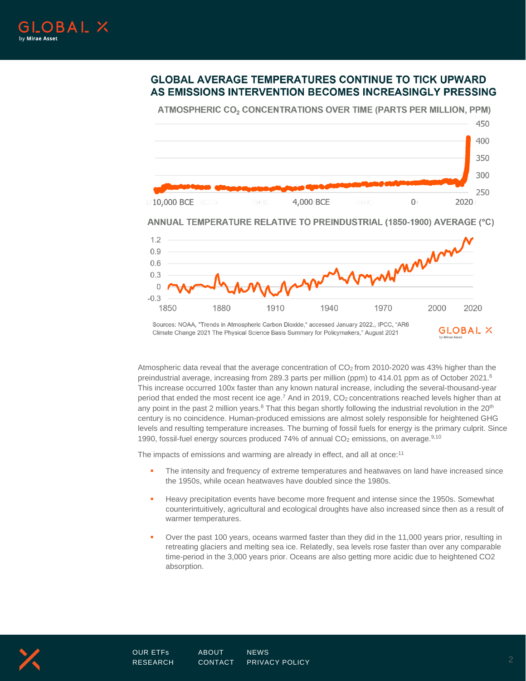## **GLOBAL AVERAGE TEMPERATURES CONTINUE TO TICK UPWARD AS EMISSIONS INTERVENTION BECOMES INCREASINGLY PRESSING**

450 400 350 300 250  $\overline{0}$ 4,000 BCE 2020 10,000 BCE

ATMOSPHERIC CO<sub>2</sub> CONCENTRATIONS OVER TIME (PARTS PER MILLION, PPM)





Sources: NOAA, "Trends in Atmospheric Carbon Dioxide," accessed January 2022., IPCC, "AR6 Climate Change 2021 The Physical Science Basis Summary for Policymakers," August 2021

Atmospheric data reveal that the average concentration of  $CO<sub>2</sub>$  from 2010-2020 was 43% higher than the preindustrial average, increasing from 289.3 parts per million (ppm) to 414.01 ppm as of October 2021.<sup>6</sup> This increase occurred 100x faster than any known natural increase, including the several-thousand-year period that ended the most recent ice age.<sup>7</sup> And in 2019, CO<sub>2</sub> concentrations reached levels higher than at any point in the past 2 million years.<sup>8</sup> That this began shortly following the industrial revolution in the  $20<sup>th</sup>$ century is no coincidence. Human-produced emissions are almost solely responsible for heightened GHG levels and resulting temperature increases. The burning of fossil fuels for energy is the primary culprit. Since 1990, fossil-fuel energy sources produced 74% of annual  $CO<sub>2</sub>$  emissions, on average.<sup>9,10</sup>

The impacts of emissions and warming are already in effect, and all at once:<sup>11</sup>

- The intensity and frequency of extreme temperatures and heatwaves on land have increased since the 1950s, while ocean heatwaves have doubled since the 1980s.
- Heavy precipitation events have become more frequent and intense since the 1950s. Somewhat counterintuitively, agricultural and ecological droughts have also increased since then as a result of warmer temperatures.
- Over the past 100 years, oceans warmed faster than they did in the 11,000 years prior, resulting in retreating glaciers and melting sea ice. Relatedly, sea levels rose faster than over any comparable time-period in the 3,000 years prior. Oceans are also getting more acidic due to heightened CO2 absorption.



**GLOBAL X**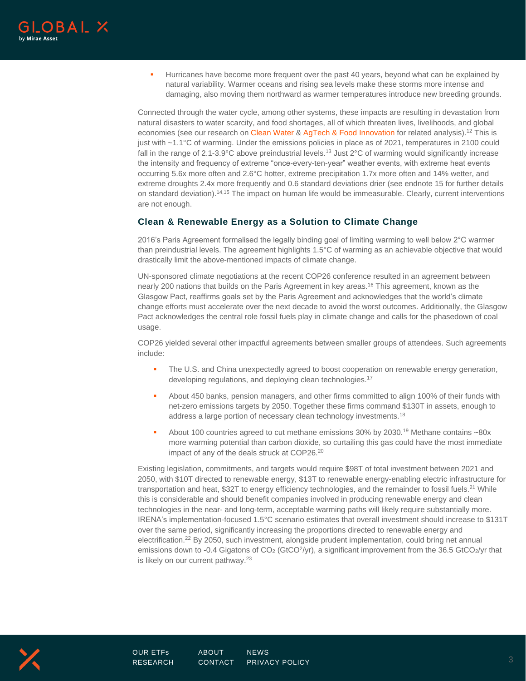**EXECT** Hurricanes have become more frequent over the past 40 years, beyond what can be explained by natural variability. Warmer oceans and rising sea levels make these storms more intense and damaging, also moving them northward as warmer temperatures introduce new breeding grounds.

Connected through the water cycle, among other systems, these impacts are resulting in devastation from natural disasters to water scarcity, and food shortages, all of which threaten lives, livelihoods, and global economies (see our research on [Clean Water](https://www.globalxetfs.com/introducing-the-global-x-clean-water-etf-aqwa/) & [AgTech & Food Innovation](https://www.globalxetfs.com/introducing-the-global-x-agtech-food-innovation-etf-krop/) for related analysis).<sup>12</sup> This is just with ~1.1°C of warming. Under the emissions policies in place as of 2021, temperatures in 2100 could fall in the range of 2.1-3.9°C above preindustrial levels.<sup>13</sup> Just 2°C of warming would significantly increase the intensity and frequency of extreme "once-every-ten-year" weather events, with extreme heat events occurring 5.6x more often and 2.6°C hotter, extreme precipitation 1.7x more often and 14% wetter, and extreme droughts 2.4x more frequently and 0.6 standard deviations drier (see endnote 15 for further details on standard deviation). 14,15 The impact on human life would be immeasurable. Clearly, current interventions are not enough.

### **Clean & Renewable Energy as a Solution to Climate Change**

2016's Paris Agreement formalised the legally binding goal of limiting warming to well below 2°C warmer than preindustrial levels. The agreement highlights 1.5°C of warming as an achievable objective that would drastically limit the above-mentioned impacts of climate change.

UN-sponsored climate negotiations at the recent COP26 conference resulted in an agreement between nearly 200 nations that builds on the Paris Agreement in key areas.<sup>16</sup> This agreement, known as the Glasgow Pact, reaffirms goals set by the Paris Agreement and acknowledges that the world's climate change efforts must accelerate over the next decade to avoid the worst outcomes. Additionally, the Glasgow Pact acknowledges the central role fossil fuels play in climate change and calls for the phasedown of coal usage.

COP26 yielded several other impactful agreements between smaller groups of attendees. Such agreements include:

- The U.S. and China unexpectedly agreed to boost cooperation on renewable energy generation, developing regulations, and deploying clean technologies.<sup>17</sup>
- About 450 banks, pension managers, and other firms committed to align 100% of their funds with net-zero emissions targets by 2050. Together these firms command \$130T in assets, enough to address a large portion of necessary clean technology investments.<sup>18</sup>
- About 100 countries agreed to cut methane emissions 30% by 2030.<sup>19</sup> Methane contains ~80x more warming potential than carbon dioxide, so curtailing this gas could have the most immediate impact of any of the deals struck at COP26.<sup>20</sup>

Existing legislation, commitments, and targets would require \$98T of total investment between 2021 and 2050, with \$10T directed to renewable energy, \$13T to renewable energy-enabling electric infrastructure for transportation and heat, \$32T to energy efficiency technologies, and the remainder to fossil fuels.<sup>21</sup> While this is considerable and should benefit companies involved in producing renewable energy and clean technologies in the near- and long-term, acceptable warming paths will likely require substantially more. IRENA's implementation-focused 1.5°C scenario estimates that overall investment should increase to \$131T over the same period, significantly increasing the proportions directed to renewable energy and electrification.<sup>22</sup> By 2050, such investment, alongside prudent implementation, could bring net annual emissions down to -0.4 Gigatons of CO<sub>2</sub> (GtCO<sup>2</sup>/yr), a significant improvement from the 36.5 GtCO<sub>2</sub>/yr that is likely on our current pathway.<sup>23</sup>

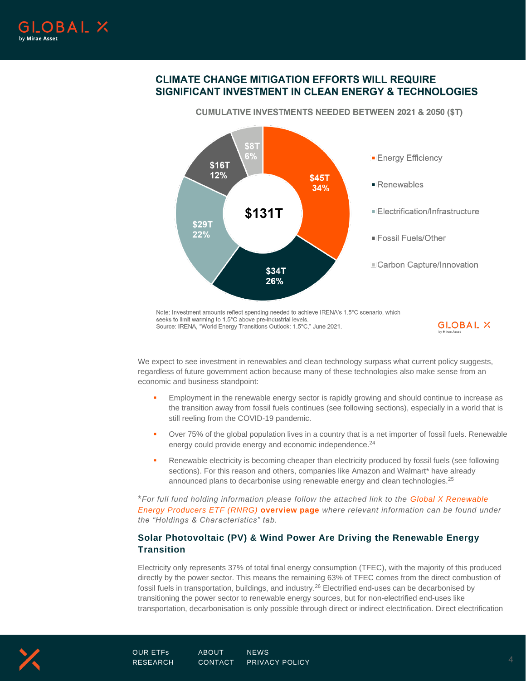

## **CLIMATE CHANGE MITIGATION EFFORTS WILL REQUIRE** SIGNIFICANT INVESTMENT IN CLEAN ENERGY & TECHNOLOGIES



**CUMULATIVE INVESTMENTS NEEDED BETWEEN 2021 & 2050 (\$T)** 

seeks to limit warming to 1.5°C above pre-industrial levels. Source: IRENA, "World Energy Transitions Outlook: 1.5°C," June 2021.



We expect to see investment in renewables and clean technology surpass what current policy suggests, regardless of future government action because many of these technologies also make sense from an economic and business standpoint:

- Employment in the renewable energy sector is rapidly growing and should continue to increase as the transition away from fossil fuels continues (see following sections), especially in a world that is still reeling from the COVID-19 pandemic.
- Over 75% of the global population lives in a country that is a net importer of fossil fuels. Renewable energy could provide energy and economic independence.<sup>24</sup>
- Renewable electricity is becoming cheaper than electricity produced by fossil fuels (see following sections). For this reason and others, companies like Amazon and Walmart\* have already announced plans to decarbonise using renewable energy and clean technologies.<sup>25</sup>

\**For full fund holding information please follow the attached link to the [Global X Renewable](https://www.globalxetfs.com/funds/rnrg/)  [Energy Producers ETF \(RNRG\)](https://www.globalxetfs.com/funds/rnrg/)* **overview page** *where relevant information can be found under the "Holdings & Characteristics" tab.*

## **Solar Photovoltaic (PV) & Wind Power Are Driving the Renewable Energy Transition**

Electricity only represents 37% of total final energy consumption (TFEC), with the majority of this produced directly by the power sector. This means the remaining 63% of TFEC comes from the direct combustion of fossil fuels in transportation, buildings, and industry.<sup>26</sup> Electrified end-uses can be decarbonised by transitioning the power sector to renewable energy sources, but for non-electrified end-uses like transportation, decarbonisation is only possible through direct or indirect electrification. Direct electrification

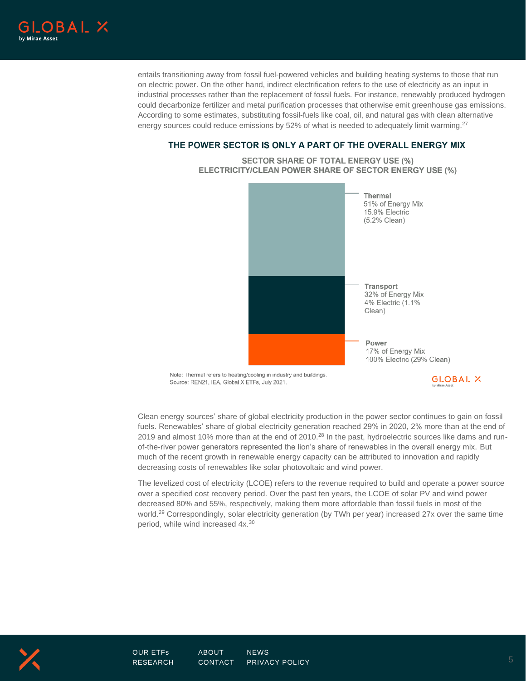

entails transitioning away from fossil fuel-powered vehicles and building heating systems to those that run on electric power. On the other hand, indirect electrification refers to the use of electricity as an input in industrial processes rather than the replacement of fossil fuels. For instance, renewably produced hydrogen could decarbonize fertilizer and metal purification processes that otherwise emit greenhouse gas emissions. According to some estimates, substituting fossil-fuels like coal, oil, and natural gas with clean alternative energy sources could reduce emissions by 52% of what is needed to adequately limit warming.<sup>27</sup>

#### THE POWER SECTOR IS ONLY A PART OF THE OVERALL ENERGY MIX

**SECTOR SHARE OF TOTAL ENERGY USE (%)** 



Note: Thermal refers to heating/cooling in industry and buildings. Source: REN21, IEA, Global X ETFs, July 2021.

**GLOBAL X** 

Clean energy sources' share of global electricity production in the power sector continues to gain on fossil fuels. Renewables' share of global electricity generation reached 29% in 2020, 2% more than at the end of 2019 and almost 10% more than at the end of 2010.<sup>28</sup> In the past, hydroelectric sources like dams and runof-the-river power generators represented the lion's share of renewables in the overall energy mix. But much of the recent growth in renewable energy capacity can be attributed to innovation and rapidly decreasing costs of renewables like solar photovoltaic and wind power.

The levelized cost of electricity (LCOE) refers to the revenue required to build and operate a power source over a specified cost recovery period. Over the past ten years, the LCOE of solar PV and wind power decreased 80% and 55%, respectively, making them more affordable than fossil fuels in most of the world.<sup>29</sup> Correspondingly, solar electricity generation (by TWh per year) increased 27x over the same time period, while wind increased 4x.<sup>30</sup>

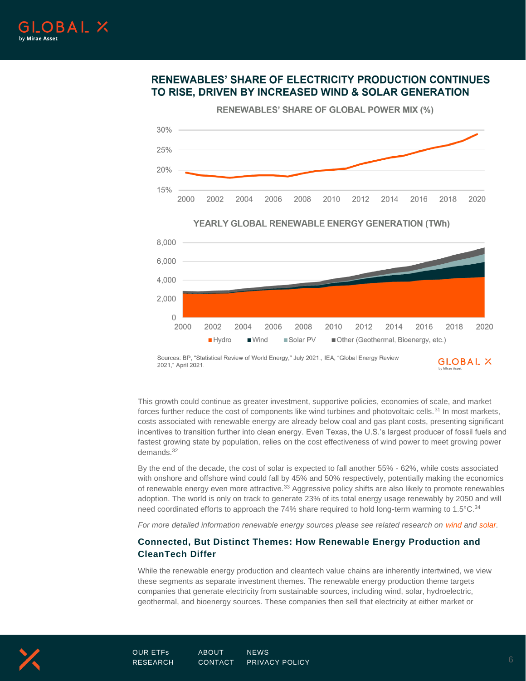

## **RENEWABLES' SHARE OF ELECTRICITY PRODUCTION CONTINUES** TO RISE, DRIVEN BY INCREASED WIND & SOLAR GENERATION

30% 25%  $20%$  $15%$ 2000 2002 2004 2006 2008 2018 2020  $2010$ 2012 2014 2016

**RENEWABLES' SHARE OF GLOBAL POWER MIX (%)** 





Sources: BP, "Statistical Review of World Energy," July 2021., IEA, "Global Energy Review 2021," April 2021.

GLOBAL X

This growth could continue as greater investment, supportive policies, economies of scale, and market forces further reduce the cost of components like wind turbines and photovoltaic cells.<sup>31</sup> In most markets, costs associated with renewable energy are already below coal and gas plant costs, presenting significant incentives to transition further into clean energy. Even Texas, the U.S.'s largest producer of fossil fuels and fastest growing state by population, relies on the cost effectiveness of wind power to meet growing power demands.<sup>32</sup>

By the end of the decade, the cost of solar is expected to fall another 55% - 62%, while costs associated with onshore and offshore wind could fall by 45% and 50% respectively, potentially making the economics of renewable energy even more attractive.<sup>33</sup> Aggressive policy shifts are also likely to promote renewables adoption. The world is only on track to generate 23% of its total energy usage renewably by 2050 and will need coordinated efforts to approach the 74% share required to hold long-term warming to 1.5°C.<sup>34</sup>

*For more detailed information renewable energy sources please see related research on [wind](https://www.globalxetfs.com/introducing-the-global-x-wind-energy-etf-wndy/) and [solar.](https://www.globalxetfs.com/introducing-the-global-x-solar-etf-rays/)*

## **Connected, But Distinct Themes: How Renewable Energy Production and CleanTech Differ**

While the renewable energy production and cleantech value chains are inherently intertwined, we view these segments as separate investment themes. The renewable energy production theme targets companies that generate electricity from sustainable sources, including wind, solar, hydroelectric, geothermal, and bioenergy sources. These companies then sell that electricity at either market or

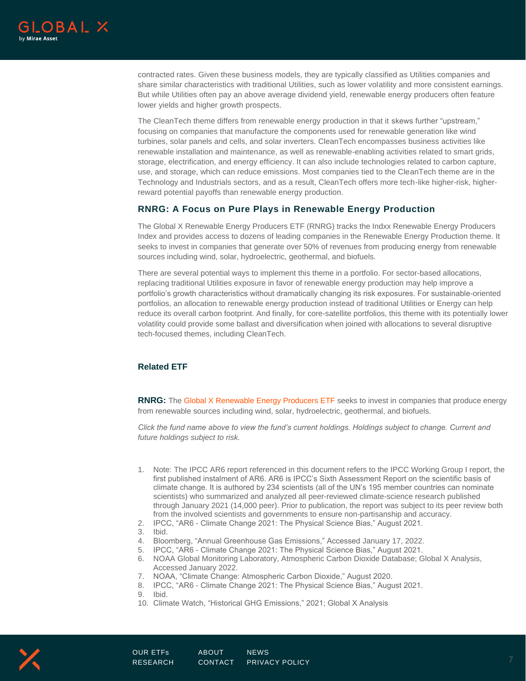

contracted rates. Given these business models, they are typically classified as Utilities companies and share similar characteristics with traditional Utilities, such as lower volatility and more consistent earnings. But while Utilities often pay an above average dividend yield, renewable energy producers often feature lower yields and higher growth prospects.

The CleanTech theme differs from renewable energy production in that it skews further "upstream," focusing on companies that manufacture the components used for renewable generation like wind turbines, solar panels and cells, and solar inverters. CleanTech encompasses business activities like renewable installation and maintenance, as well as renewable-enabling activities related to smart grids, storage, electrification, and energy efficiency. It can also include technologies related to carbon capture, use, and storage, which can reduce emissions. Most companies tied to the CleanTech theme are in the Technology and Industrials sectors, and as a result, CleanTech offers more tech-like higher-risk, higherreward potential payoffs than renewable energy production.

#### **RNRG: A Focus on Pure Plays in Renewable Energy Production**

The Global X Renewable Energy Producers ETF (RNRG) tracks the Indxx Renewable Energy Producers Index and provides access to dozens of leading companies in the Renewable Energy Production theme. It seeks to invest in companies that generate over 50% of revenues from producing energy from renewable sources including wind, solar, hydroelectric, geothermal, and biofuels.

There are several potential ways to implement this theme in a portfolio. For sector-based allocations, replacing traditional Utilities exposure in favor of renewable energy production may help improve a portfolio's growth characteristics without dramatically changing its risk exposures. For sustainable-oriented portfolios, an allocation to renewable energy production instead of traditional Utilities or Energy can help reduce its overall carbon footprint. And finally, for core-satellite portfolios, this theme with its potentially lower volatility could provide some ballast and diversification when joined with allocations to several disruptive tech-focused themes, including CleanTech.

#### **Related ETF**

**RNRG:** The [Global X Renewable Energy Producers ETF](https://www.globalxetfs.com/funds/rnrg/) seeks to invest in companies that produce energy from renewable sources including wind, solar, hydroelectric, geothermal, and biofuels.

*Click the fund name above to view the fund's current holdings. Holdings subject to change. Current and future holdings subject to risk.*

- 1. Note: The IPCC AR6 report referenced in this document refers to the IPCC Working Group I report, the first published instalment of AR6. AR6 is IPCC's Sixth Assessment Report on the scientific basis of climate change. It is authored by 234 scientists (all of the UN's 195 member countries can nominate scientists) who summarized and analyzed all peer-reviewed climate-science research published through January 2021 (14,000 peer). Prior to publication, the report was subject to its peer review both from the involved scientists and governments to ensure non-partisanship and accuracy.
- 2. IPCC, "AR6 Climate Change 2021: The Physical Science Bias," August 2021.
- 
- 3. Ibid. 4. Bloomberg, "Annual Greenhouse Gas Emissions," Accessed January 17, 2022.
- 5. IPCC, "AR6 Climate Change 2021: The Physical Science Bias," August 2021.
- 6. NOAA Global Monitoring Laboratory, Atmospheric Carbon Dioxide Database; Global X Analysis, Accessed January 2022.
- 7. NOAA, "Climate Change: Atmospheric Carbon Dioxide," August 2020.
- 8. IPCC, "AR6 Climate Change 2021: The Physical Science Bias," August 2021.
- 9. Ibid.
- 10. Climate Watch, "Historical GHG Emissions," 2021; Global X Analysis

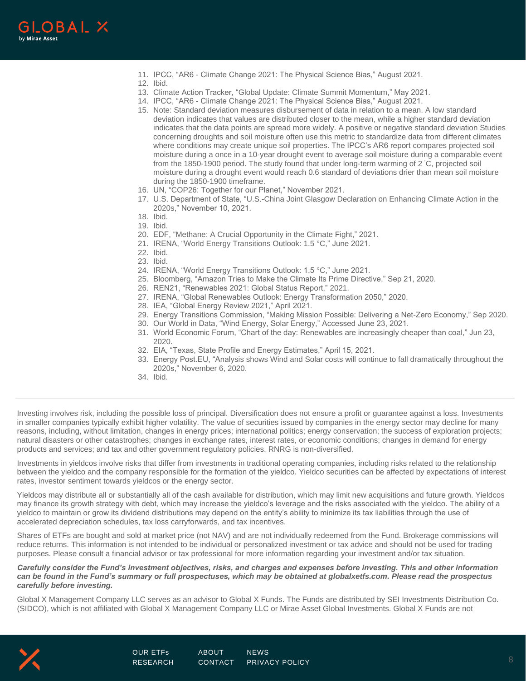

- 11. IPCC, "AR6 Climate Change 2021: The Physical Science Bias," August 2021.
- 12. Ibid.
- 13. Climate Action Tracker, "Global Update: Climate Summit Momentum," May 2021.
- 14. IPCC, "AR6 Climate Change 2021: The Physical Science Bias," August 2021.
- 15. Note: Standard deviation measures disbursement of data in relation to a mean. A low standard deviation indicates that values are distributed closer to the mean, while a higher standard deviation indicates that the data points are spread more widely. A positive or negative standard deviation Studies concerning droughts and soil moisture often use this metric to standardize data from different climates where conditions may create unique soil properties. The IPCC's AR6 report compares projected soil moisture during a once in a 10-year drought event to average soil moisture during a comparable event from the 1850-1900 period. The study found that under long-term warming of 2 °C, projected soil moisture during a drought event would reach 0.6 standard of deviations drier than mean soil moisture during the 1850-1900 timeframe.
- 16. UN, "COP26: Together for our Planet," November 2021.
- 17. U.S. Department of State, "U.S.-China Joint Glasgow Declaration on Enhancing Climate Action in the 2020s," November 10, 2021.
- 18. Ibid.
- 19. Ibid.
- 20. EDF, "Methane: A Crucial Opportunity in the Climate Fight," 2021.
- 21. IRENA, "World Energy Transitions Outlook: 1.5 °C," June 2021.
- 22. Ibid.
- 23. Ibid.
- 24. IRENA, "World Energy Transitions Outlook: 1.5 °C," June 2021.
- 25. Bloomberg, "Amazon Tries to Make the Climate Its Prime Directive," Sep 21, 2020.
- 26. REN21, "Renewables 2021: Global Status Report," 2021.
- 27. IRENA, "Global Renewables Outlook: Energy Transformation 2050," 2020.
- 28. IEA, "Global Energy Review 2021," April 2021.
- 29. Energy Transitions Commission, "Making Mission Possible: Delivering a Net-Zero Economy," Sep 2020.
- 30. Our World in Data, "Wind Energy, Solar Energy," Accessed June 23, 2021.
- 31. World Economic Forum, "Chart of the day: Renewables are increasingly cheaper than coal," Jun 23, 2020.
- 32. EIA, "Texas, State Profile and Energy Estimates," April 15, 2021.
- 33. Energy Post.EU, "Analysis shows Wind and Solar costs will continue to fall dramatically throughout the 2020s," November 6, 2020.
- 34. Ibid.

Investing involves risk, including the possible loss of principal. Diversification does not ensure a profit or guarantee against a loss. Investments in smaller companies typically exhibit higher volatility. The value of securities issued by companies in the energy sector may decline for many reasons, including, without limitation, changes in energy prices; international politics; energy conservation; the success of exploration projects; natural disasters or other catastrophes; changes in exchange rates, interest rates, or economic conditions; changes in demand for energy products and services; and tax and other government regulatory policies. RNRG is non-diversified.

Investments in yieldcos involve risks that differ from investments in traditional operating companies, including risks related to the relationship between the yieldco and the company responsible for the formation of the yieldco. Yieldco securities can be affected by expectations of interest rates, investor sentiment towards yieldcos or the energy sector.

Yieldcos may distribute all or substantially all of the cash available for distribution, which may limit new acquisitions and future growth. Yieldcos may finance its growth strategy with debt, which may increase the yieldco's leverage and the risks associated with the yieldco. The ability of a yieldco to maintain or grow its dividend distributions may depend on the entity's ability to minimize its tax liabilities through the use of accelerated depreciation schedules, tax loss carryforwards, and tax incentives.

Shares of ETFs are bought and sold at market price (not NAV) and are not individually redeemed from the Fund. Brokerage commissions will reduce returns. This information is not intended to be individual or personalized investment or tax advice and should not be used for trading purposes. Please consult a financial advisor or tax professional for more information regarding your investment and/or tax situation.

#### *Carefully consider the Fund's investment objectives, risks, and charges and expenses before investing. This and other information can be found in the Fund's summary or full prospectuses, which may be obtained at globalxetfs.com. Please read the prospectus carefully before investing.*

Global X Management Company LLC serves as an advisor to Global X Funds. The Funds are distributed by SEI Investments Distribution Co. (SIDCO), which is not affiliated with Global X Management Company LLC or Mirae Asset Global Investments. Global X Funds are not